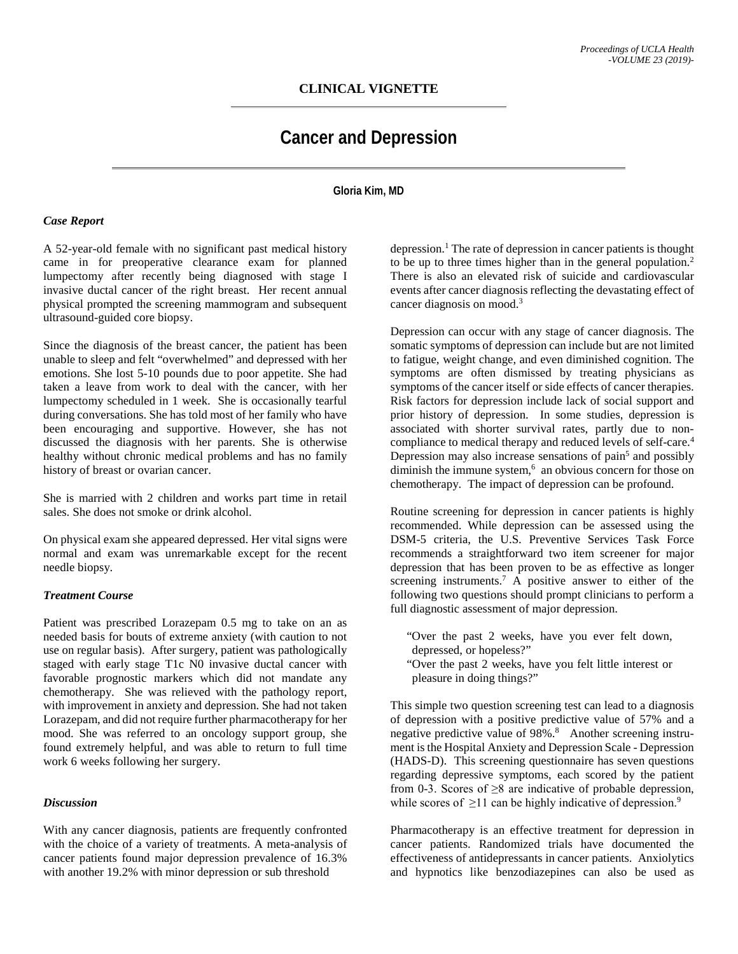## **CLINICAL VIGNETTE**

# **Cancer and Depression**

#### **Gloria Kim, MD**

#### *Case Report*

A 52-year-old female with no significant past medical history came in for preoperative clearance exam for planned lumpectomy after recently being diagnosed with stage I invasive ductal cancer of the right breast. Her recent annual physical prompted the screening mammogram and subsequent ultrasound-guided core biopsy.

Since the diagnosis of the breast cancer, the patient has been unable to sleep and felt "overwhelmed" and depressed with her emotions. She lost 5-10 pounds due to poor appetite. She had taken a leave from work to deal with the cancer, with her lumpectomy scheduled in 1 week. She is occasionally tearful during conversations. She has told most of her family who have been encouraging and supportive. However, she has not discussed the diagnosis with her parents. She is otherwise healthy without chronic medical problems and has no family history of breast or ovarian cancer.

She is married with 2 children and works part time in retail sales. She does not smoke or drink alcohol.

On physical exam she appeared depressed. Her vital signs were normal and exam was unremarkable except for the recent needle biopsy.

#### *Treatment Course*

Patient was prescribed Lorazepam 0.5 mg to take on an as needed basis for bouts of extreme anxiety (with caution to not use on regular basis). After surgery, patient was pathologically staged with early stage T1c N0 invasive ductal cancer with favorable prognostic markers which did not mandate any chemotherapy. She was relieved with the pathology report, with improvement in anxiety and depression. She had not taken Lorazepam, and did not require further pharmacotherapy for her mood. She was referred to an oncology support group, she found extremely helpful, and was able to return to full time work 6 weeks following her surgery.

#### *Discussion*

With any cancer diagnosis, patients are frequently confronted with the choice of a variety of treatments. A meta-analysis of cancer patients found major depression prevalence of 16.3% with another 19.2% with minor depression or sub threshold

depression.<sup>1</sup> The rate of depression in cancer patients is thought to be up to three times higher than in the general population.<sup>2</sup> There is also an elevated risk of suicide and cardiovascular events after cancer diagnosis reflecting the devastating effect of cancer diagnosis on mood.<sup>3</sup>

Depression can occur with any stage of cancer diagnosis. The somatic symptoms of depression can include but are not limited to fatigue, weight change, and even diminished cognition. The symptoms are often dismissed by treating physicians as symptoms of the cancer itself or side effects of cancer therapies. Risk factors for depression include lack of social support and prior history of depression. In some studies, depression is associated with shorter survival rates, partly due to noncompliance to medical therapy and reduced levels of self-care.<sup>4</sup> Depression may also increase sensations of pain<sup>5</sup> and possibly diminish the immune system,<sup>6</sup> an obvious concern for those on chemotherapy. The impact of depression can be profound.

Routine screening for depression in cancer patients is highly recommended. While depression can be assessed using the DSM-5 criteria, the U.S. Preventive Services Task Force recommends a straightforward two item screener for major depression that has been proven to be as effective as longer screening instruments.<sup>7</sup> A positive answer to either of the following two questions should prompt clinicians to perform a full diagnostic assessment of major depression.

- "Over the past 2 weeks, have you ever felt down, depressed, or hopeless?"
- "Over the past 2 weeks, have you felt little interest or pleasure in doing things?"

This simple two question screening test can lead to a diagnosis of depression with a positive predictive value of 57% and a negative predictive value of 98%.<sup>8</sup> Another screening instrument is the Hospital Anxiety and Depression Scale - Depression (HADS-D). This screening questionnaire has seven questions regarding depressive symptoms, each scored by the patient from 0-3. Scores of  $\geq 8$  are indicative of probable depression, while scores of  $\geq$ 11 can be highly indicative of depression.<sup>9</sup>

Pharmacotherapy is an effective treatment for depression in cancer patients. Randomized trials have documented the effectiveness of antidepressants in cancer patients. Anxiolytics and hypnotics like benzodiazepines can also be used as